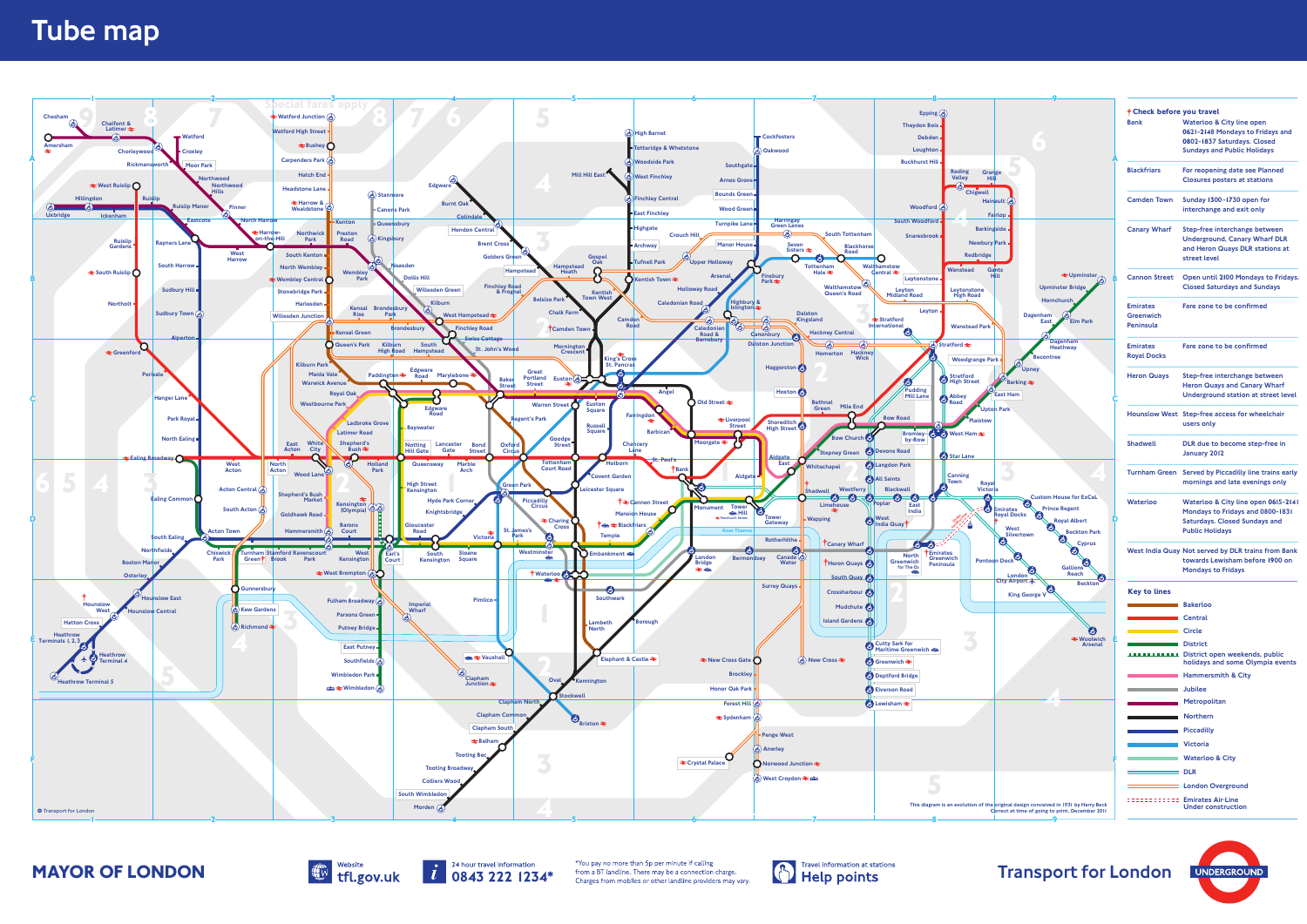





**MAYOR OF LONDON** Website **Configuration** a BT landline. There may be a connection charge. **Configuration** at stations **Transport for London** UNDERGROUND



| <b>†Check before you travel</b><br><b>Bank</b>   | <b>Waterloo &amp; City line open</b>                                                                                                      |
|--------------------------------------------------|-------------------------------------------------------------------------------------------------------------------------------------------|
|                                                  | 0621-2148 Mondays to Fridays and<br>0802-1837 Saturdays. Closed                                                                           |
|                                                  | <b>Sundays and Public Holidays</b>                                                                                                        |
| <b>Blackfriars</b>                               | For reopening date see Planned<br><b>Closures posters at stations</b>                                                                     |
| <b>Camden Town</b>                               | Sunday 1300-1730 open for<br>interchange and exit only                                                                                    |
| <b>Canary Wharf</b>                              | Step-free interchange between<br><b>Underground, Canary Wharf DLR</b><br>and Heron Quays DLR stations at<br>street level                  |
| <b>Cannon Street</b>                             | Open until 2100 Mondays to Fridays.<br><b>Closed Saturdays and Sundays</b>                                                                |
| <b>Emirates</b><br>Greenwich<br><b>Peninsula</b> | Fare zone to be confirmed                                                                                                                 |
| <b>Emirates</b><br><b>Royal Docks</b>            | Fare zone to be confirmed                                                                                                                 |
| <b>Heron Quays</b>                               | Step-free interchange between<br><b>Heron Quays and Canary Wharf</b><br><b>Underground station at street level</b>                        |
|                                                  | Hounslow West Step-free access for wheelchair<br>users only                                                                               |
| <b>Shadwell</b>                                  | DLR due to become step-free in<br>January 2012                                                                                            |
| <b>Turnham Green</b>                             | Served by Piccadilly line trains early<br>mornings and late evenings only                                                                 |
| Waterloo                                         | Waterloo & City line open 0615-2141<br>Mondays to Fridays and 0800-1831<br><b>Saturdays. Closed Sundays and</b><br><b>Public Holidays</b> |
|                                                  | West India Quay Not served by DLR trains from Bank<br>towards Lewisham before 1900 on<br><b>Mondays to Fridays</b>                        |
| <b>Key to lines</b>                              |                                                                                                                                           |
| <b>Excessive Contracts Bakerloo</b>              |                                                                                                                                           |
|                                                  | <b>Central</b>                                                                                                                            |
| ٠                                                | <b>Circle</b>                                                                                                                             |
|                                                  | <b>District</b><br><b>TELECTRICIAL</b> District open weekends, public<br>holidays and some Olympia events                                 |
|                                                  | <b>Hammersmith &amp; City</b>                                                                                                             |
| the control of the control of the                | <b>Jubilee</b>                                                                                                                            |
|                                                  | Metropolitan                                                                                                                              |
| and the company of the company                   | <b>Northern</b>                                                                                                                           |
| $\sim 100$                                       | <b>Piccadilly</b>                                                                                                                         |
| $\sim 100$                                       | <b>Victoria</b>                                                                                                                           |
| <b>Contract</b>                                  | <b>Waterloo &amp; City</b>                                                                                                                |
|                                                  | <b>DLR</b>                                                                                                                                |
|                                                  | <b>London Overground</b>                                                                                                                  |
|                                                  | <b>EDIMINATION Emirates Air-Line</b><br><b>Under construction</b>                                                                         |
|                                                  |                                                                                                                                           |



## Tube map